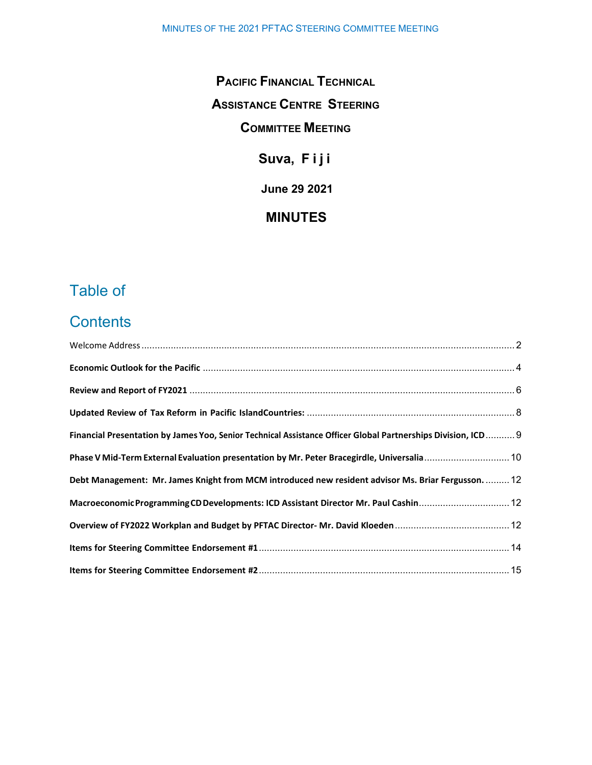## **PACIFIC FINANCIAL TECHNICAL**

## **ASSISTANCE CENTRE STEERING**

### **COMMITTEE MEETING**

# **Suva, Fiji**

**June 29 2021** 

### **MINUTES**

# Table of

# **Contents**

| Financial Presentation by James Yoo, Senior Technical Assistance Officer Global Partnerships Division, ICD 9 |  |
|--------------------------------------------------------------------------------------------------------------|--|
| Phase V Mid-Term External Evaluation presentation by Mr. Peter Bracegirdle, Universalia 10                   |  |
| Debt Management: Mr. James Knight from MCM introduced new resident advisor Ms. Briar Fergusson.  12          |  |
| Macroeconomic Programming CD Developments: ICD Assistant Director Mr. Paul Cashin 12                         |  |
|                                                                                                              |  |
|                                                                                                              |  |
|                                                                                                              |  |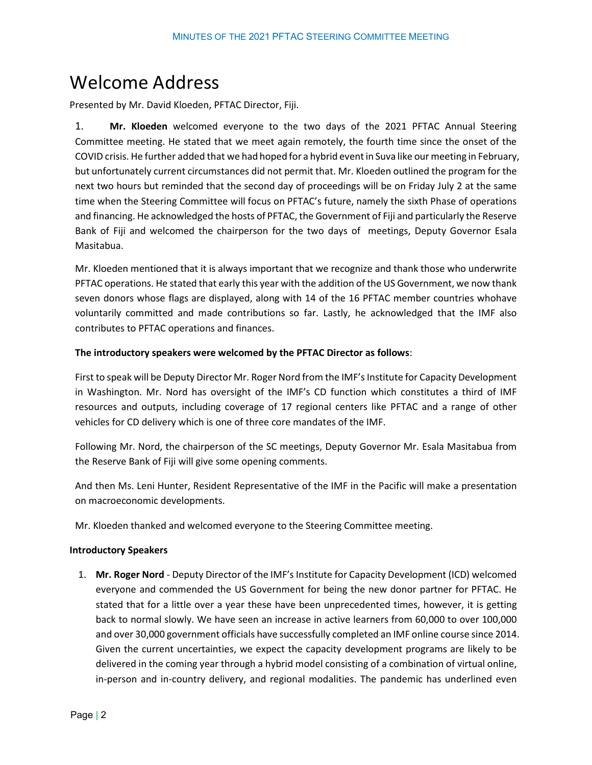# <span id="page-1-0"></span>Welcome Address

Presented by Mr. David Kloeden, PFTAC Director, Fiji.

1. **Mr. Kloeden** welcomed everyone to the two days of the 2021 PFTAC Annual Steering Committee meeting. He stated that we meet again remotely, the fourth time since the onset of the COVID crisis. He further added that we had hoped for a hybrid eventin Suva like our meeting in February, but unfortunately current circumstances did not permit that. Mr. Kloeden outlined the program for the next two hours but reminded that the second day of proceedings will be on Friday July 2 at the same time when the Steering Committee will focus on PFTAC's future, namely the sixth Phase of operations and financing. He acknowledged the hosts of PFTAC, the Government of Fiji and particularly the Reserve Bank of Fiji and welcomed the chairperson for the two days of meetings, Deputy Governor Esala Masitabua.

Mr. Kloeden mentioned that it is always important that we recognize and thank those who underwrite PFTAC operations. He stated that early this year with the addition of the US Government, we now thank seven donors whose flags are displayed, along with 14 of the 16 PFTAC member countries whohave voluntarily committed and made contributions so far. Lastly, he acknowledged that the IMF also contributes to PFTAC operations and finances.

#### **The introductory speakers were welcomed by the PFTAC Director as follows**:

First to speak will be Deputy Director Mr. Roger Nord from the IMF's Institute for Capacity Development in Washington. Mr. Nord has oversight of the IMF's CD function which constitutes a third of IMF resources and outputs, including coverage of 17 regional centers like PFTAC and a range of other vehicles for CD delivery which is one of three core mandates of the IMF.

Following Mr. Nord, the chairperson of the SC meetings, Deputy Governor Mr. Esala Masitabua from the Reserve Bank of Fiji will give some opening comments.

And then Ms. Leni Hunter, Resident Representative of the IMF in the Pacific will make a presentation on macroeconomic developments.

Mr. Kloeden thanked and welcomed everyone to the Steering Committee meeting.

#### **Introductory Speakers**

1. **Mr. Roger Nord** - Deputy Director of the IMF's Institute for Capacity Development (ICD) welcomed everyone and commended the US Government for being the new donor partner for PFTAC. He stated that for a little over a year these have been unprecedented times, however, it is getting back to normal slowly. We have seen an increase in active learners from 60,000 to over 100,000 and over 30,000 government officials have successfully completed an IMF online course since 2014. Given the current uncertainties, we expect the capacity development programs are likely to be delivered in the coming year through a hybrid model consisting of a combination of virtual online, in-person and in-country delivery, and regional modalities. The pandemic has underlined even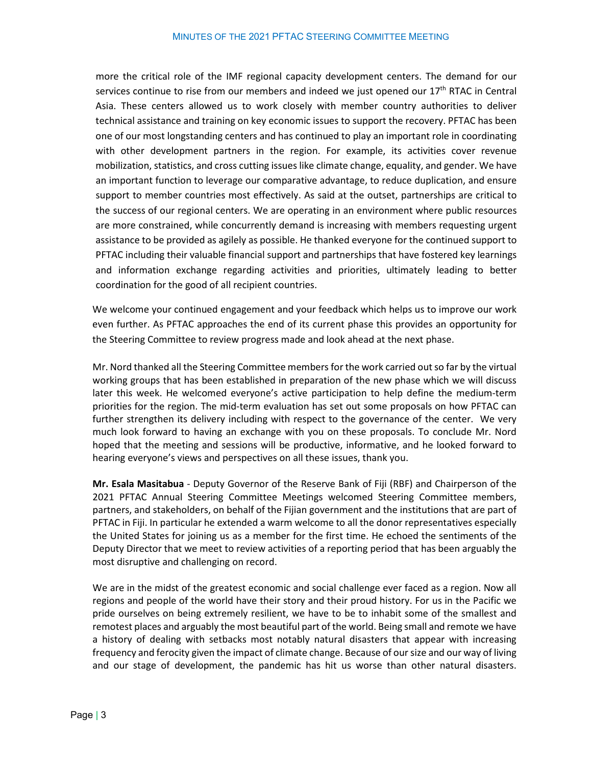more the critical role of the IMF regional capacity development centers. The demand for our services continue to rise from our members and indeed we just opened our 17<sup>th</sup> RTAC in Central Asia. These centers allowed us to work closely with member country authorities to deliver technical assistance and training on key economic issues to support the recovery. PFTAC has been one of our most longstanding centers and has continued to play an important role in coordinating with other development partners in the region. For example, its activities cover revenue mobilization, statistics, and cross cutting issues like climate change, equality, and gender. We have an important function to leverage our comparative advantage, to reduce duplication, and ensure support to member countries most effectively. As said at the outset, partnerships are critical to the success of our regional centers. We are operating in an environment where public resources are more constrained, while concurrently demand is increasing with members requesting urgent assistance to be provided as agilely as possible. He thanked everyone for the continued support to PFTAC including their valuable financial support and partnerships that have fostered key learnings and information exchange regarding activities and priorities, ultimately leading to better coordination for the good of all recipient countries.

We welcome your continued engagement and your feedback which helps us to improve our work even further. As PFTAC approaches the end of its current phase this provides an opportunity for the Steering Committee to review progress made and look ahead at the next phase.

Mr. Nord thanked all the Steering Committee members for the work carried out so far by the virtual working groups that has been established in preparation of the new phase which we will discuss later this week. He welcomed everyone's active participation to help define the medium-term priorities for the region. The mid-term evaluation has set out some proposals on how PFTAC can further strengthen its delivery including with respect to the governance of the center. We very much look forward to having an exchange with you on these proposals. To conclude Mr. Nord hoped that the meeting and sessions will be productive, informative, and he looked forward to hearing everyone's views and perspectives on all these issues, thank you.

**Mr. Esala Masitabua** - Deputy Governor of the Reserve Bank of Fiji (RBF) and Chairperson of the 2021 PFTAC Annual Steering Committee Meetings welcomed Steering Committee members, partners, and stakeholders, on behalf of the Fijian government and the institutions that are part of PFTAC in Fiji. In particular he extended a warm welcome to all the donor representatives especially the United States for joining us as a member for the first time. He echoed the sentiments of the Deputy Director that we meet to review activities of a reporting period that has been arguably the most disruptive and challenging on record.

We are in the midst of the greatest economic and social challenge ever faced as a region. Now all regions and people of the world have their story and their proud history. For us in the Pacific we pride ourselves on being extremely resilient, we have to be to inhabit some of the smallest and remotest places and arguably the most beautiful part of the world. Being small and remote we have a history of dealing with setbacks most notably natural disasters that appear with increasing frequency and ferocity given the impact of climate change. Because of our size and our way of living and our stage of development, the pandemic has hit us worse than other natural disasters.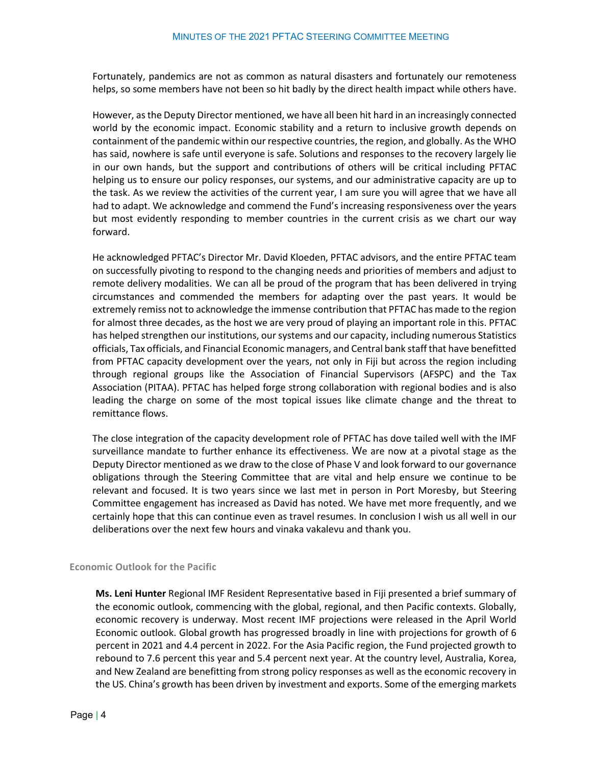Fortunately, pandemics are not as common as natural disasters and fortunately our remoteness helps, so some members have not been so hit badly by the direct health impact while others have.

However, as the Deputy Director mentioned, we have all been hit hard in an increasingly connected world by the economic impact. Economic stability and a return to inclusive growth depends on containment of the pandemic within our respective countries, the region, and globally. As the WHO has said, nowhere is safe until everyone is safe. Solutions and responses to the recovery largely lie in our own hands, but the support and contributions of others will be critical including PFTAC helping us to ensure our policy responses, our systems, and our administrative capacity are up to the task. As we review the activities of the current year, I am sure you will agree that we have all had to adapt. We acknowledge and commend the Fund's increasing responsiveness over the years but most evidently responding to member countries in the current crisis as we chart our way forward.

He acknowledged PFTAC's Director Mr. David Kloeden, PFTAC advisors, and the entire PFTAC team on successfully pivoting to respond to the changing needs and priorities of members and adjust to remote delivery modalities. We can all be proud of the program that has been delivered in trying circumstances and commended the members for adapting over the past years. It would be extremely remiss not to acknowledge the immense contribution that PFTAC has made to the region for almost three decades, as the host we are very proud of playing an important role in this. PFTAC has helped strengthen our institutions, our systems and our capacity, including numerous Statistics officials, Tax officials, and Financial Economic managers, and Central bank staff that have benefitted from PFTAC capacity development over the years, not only in Fiji but across the region including through regional groups like the Association of Financial Supervisors (AFSPC) and the Tax Association (PITAA). PFTAC has helped forge strong collaboration with regional bodies and is also leading the charge on some of the most topical issues like climate change and the threat to remittance flows.

The close integration of the capacity development role of PFTAC has dove tailed well with the IMF surveillance mandate to further enhance its effectiveness. We are now at a pivotal stage as the Deputy Director mentioned as we draw to the close of Phase V and look forward to our governance obligations through the Steering Committee that are vital and help ensure we continue to be relevant and focused. It is two years since we last met in person in Port Moresby, but Steering Committee engagement has increased as David has noted. We have met more frequently, and we certainly hope that this can continue even as travel resumes. In conclusion I wish us all well in our deliberations over the next few hours and vinaka vakalevu and thank you.

#### <span id="page-3-0"></span>**Economic Outlook for the Pacific**

**Ms. Leni Hunter** Regional IMF Resident Representative based in Fiji presented a brief summary of the economic outlook, commencing with the global, regional, and then Pacific contexts. Globally, economic recovery is underway. Most recent IMF projections were released in the April World Economic outlook. Global growth has progressed broadly in line with projections for growth of 6 percent in 2021 and 4.4 percent in 2022. For the Asia Pacific region, the Fund projected growth to rebound to 7.6 percent this year and 5.4 percent next year. At the country level, Australia, Korea, and New Zealand are benefitting from strong policy responses as well as the economic recovery in the US. China's growth has been driven by investment and exports. Some of the emerging markets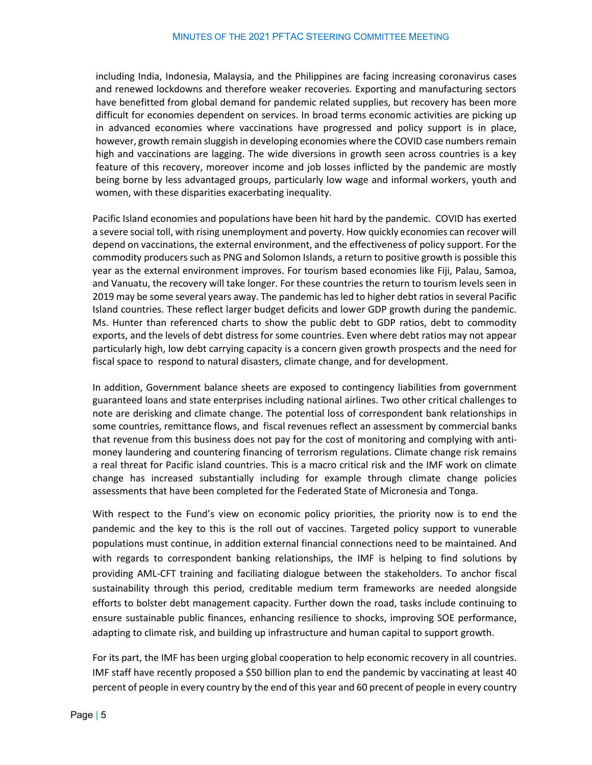including India, Indonesia, Malaysia, and the Philippines are facing increasing coronavirus cases and renewed lockdowns and therefore weaker recoveries. Exporting and manufacturing sectors have benefitted from global demand for pandemic related supplies, but recovery has been more difficult for economies dependent on services. In broad terms economic activities are picking up in advanced economies where vaccinations have progressed and policy support is in place, however, growth remain sluggish in developing economies where the COVID case numbers remain high and vaccinations are lagging. The wide diversions in growth seen across countries is a key feature of this recovery, moreover income and job losses inflicted by the pandemic are mostly being borne by less advantaged groups, particularly low wage and informal workers, youth and women, with these disparities exacerbating inequality.

Pacific Island economies and populations have been hit hard by the pandemic. COVID has exerted a severe social toll, with rising unemployment and poverty. How quickly economies can recover will depend on vaccinations, the external environment, and the effectiveness of policy support. For the commodity producers such as PNG and Solomon Islands, a return to positive growth is possible this year as the external environment improves. For tourism based economies like Fiji, Palau, Samoa, and Vanuatu, the recovery will take longer. For these countries the return to tourism levels seen in 2019 may be some several years away. The pandemic has led to higher debt ratios in several Pacific Island countries. These reflect larger budget deficits and lower GDP growth during the pandemic. Ms. Hunter than referenced charts to show the public debt to GDP ratios, debt to commodity exports, and the levels of debt distress for some countries. Even where debt ratios may not appear particularly high, low debt carrying capacity is a concern given growth prospects and the need for fiscal space to respond to natural disasters, climate change, and for development.

In addition, Government balance sheets are exposed to contingency liabilities from government guaranteed loans and state enterprises including national airlines. Two other critical challenges to note are derisking and climate change. The potential loss of correspondent bank relationships in some countries, remittance flows, and fiscal revenues reflect an assessment by commercial banks that revenue from this business does not pay for the cost of monitoring and complying with antimoney laundering and countering financing of terrorism regulations. Climate change risk remains a real threat for Pacific island countries. This is a macro critical risk and the IMF work on climate change has increased substantially including for example through climate change policies assessments that have been completed for the Federated State of Micronesia and Tonga.

With respect to the Fund's view on economic policy priorities, the priority now is to end the pandemic and the key to this is the roll out of vaccines. Targeted policy support to vunerable populations must continue, in addition external financial connections need to be maintained. And with regards to correspondent banking relationships, the IMF is helping to find solutions by providing AML-CFT training and faciliating dialogue between the stakeholders. To anchor fiscal sustainability through this period, creditable medium term frameworks are needed alongside efforts to bolster debt management capacity. Further down the road, tasks include continuing to ensure sustainable public finances, enhancing resilience to shocks, improving SOE performance, adapting to climate risk, and building up infrastructure and human capital to support growth.

For its part, the IMF has been urging global cooperation to help economic recovery in all countries. IMF staff have recently proposed a \$50 billion plan to end the pandemic by vaccinating at least 40 percent of people in every country by the end of this year and 60 precent of people in every country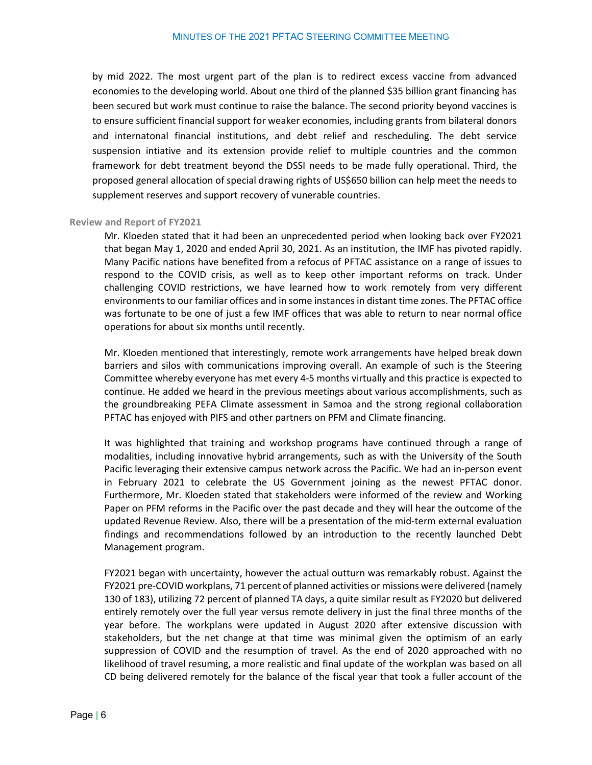by mid 2022. The most urgent part of the plan is to redirect excess vaccine from advanced economies to the developing world. About one third of the planned \$35 billion grant financing has been secured but work must continue to raise the balance. The second priority beyond vaccines is to ensure sufficient financial support for weaker economies, including grants from bilateral donors and internatonal financial institutions, and debt relief and rescheduling. The debt service suspension intiative and its extension provide relief to multiple countries and the common framework for debt treatment beyond the DSSI needs to be made fully operational. Third, the proposed general allocation of special drawing rights of US\$650 billion can help meet the needs to supplement reserves and support recovery of vunerable countries.

#### <span id="page-5-0"></span>**Review and Report of FY2021**

Mr. Kloeden stated that it had been an unprecedented period when looking back over FY2021 that began May 1, 2020 and ended April 30, 2021. As an institution, the IMF has pivoted rapidly. Many Pacific nations have benefited from a refocus of PFTAC assistance on a range of issues to respond to the COVID crisis, as well as to keep other important reforms on track. Under challenging COVID restrictions, we have learned how to work remotely from very different environments to our familiar offices and in some instances in distant time zones. The PFTAC office was fortunate to be one of just a few IMF offices that was able to return to near normal office operations for about six months until recently.

Mr. Kloeden mentioned that interestingly, remote work arrangements have helped break down barriers and silos with communications improving overall. An example of such is the Steering Committee whereby everyone has met every 4-5 months virtually and this practice is expected to continue. He added we heard in the previous meetings about various accomplishments, such as the groundbreaking PEFA Climate assessment in Samoa and the strong regional collaboration PFTAC has enjoyed with PIFS and other partners on PFM and Climate financing.

It was highlighted that training and workshop programs have continued through a range of modalities, including innovative hybrid arrangements, such as with the University of the South Pacific leveraging their extensive campus network across the Pacific. We had an in-person event in February 2021 to celebrate the US Government joining as the newest PFTAC donor. Furthermore, Mr. Kloeden stated that stakeholders were informed of the review and Working Paper on PFM reforms in the Pacific over the past decade and they will hear the outcome of the updated Revenue Review. Also, there will be a presentation of the mid-term external evaluation findings and recommendations followed by an introduction to the recently launched Debt Management program.

FY2021 began with uncertainty, however the actual outturn was remarkably robust. Against the FY2021 pre-COVID workplans, 71 percent of planned activities or missions were delivered (namely 130 of 183), utilizing 72 percent of planned TA days, a quite similar result as FY2020 but delivered entirely remotely over the full year versus remote delivery in just the final three months of the year before. The workplans were updated in August 2020 after extensive discussion with stakeholders, but the net change at that time was minimal given the optimism of an early suppression of COVID and the resumption of travel. As the end of 2020 approached with no likelihood of travel resuming, a more realistic and final update of the workplan was based on all CD being delivered remotely for the balance of the fiscal year that took a fuller account of the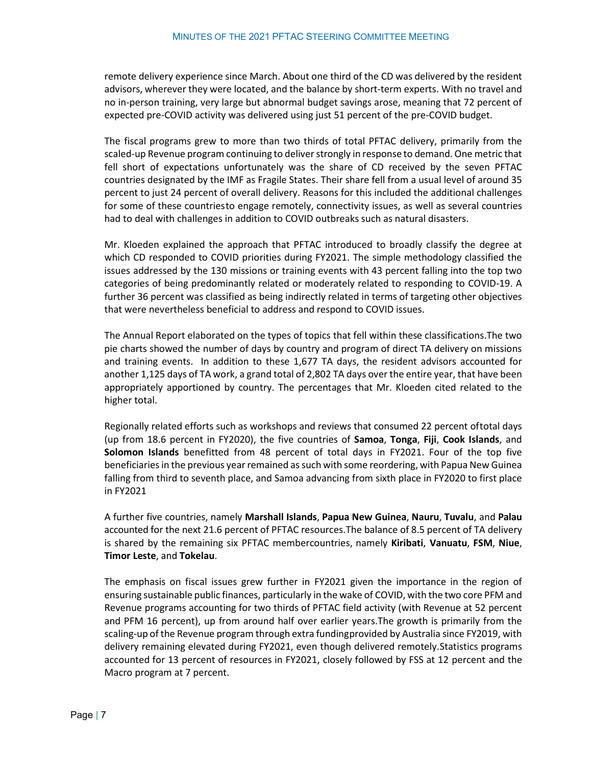remote delivery experience since March. About one third of the CD was delivered by the resident advisors, wherever they were located, and the balance by short-term experts. With no travel and no in-person training, very large but abnormal budget savings arose, meaning that 72 percent of expected pre-COVID activity was delivered using just 51 percent of the pre-COVID budget.

The fiscal programs grew to more than two thirds of total PFTAC delivery, primarily from the scaled-up Revenue program continuing to deliver strongly in response to demand. One metric that fell short of expectations unfortunately was the share of CD received by the seven PFTAC countries designated by the IMF as Fragile States. Their share fell from a usual level of around 35 percent to just 24 percent of overall delivery. Reasons for this included the additional challenges for some of these countriesto engage remotely, connectivity issues, as well as several countries had to deal with challenges in addition to COVID outbreaks such as natural disasters.

Mr. Kloeden explained the approach that PFTAC introduced to broadly classify the degree at which CD responded to COVID priorities during FY2021. The simple methodology classified the issues addressed by the 130 missions or training events with 43 percent falling into the top two categories of being predominantly related or moderately related to responding to COVID-19. A further 36 percent was classified as being indirectly related in terms of targeting other objectives that were nevertheless beneficial to address and respond to COVID issues.

The Annual Report elaborated on the types of topics that fell within these classifications.The two pie charts showed the number of days by country and program of direct TA delivery on missions and training events. In addition to these 1,677 TA days, the resident advisors accounted for another 1,125 days of TA work, a grand total of 2,802 TA days over the entire year, that have been appropriately apportioned by country. The percentages that Mr. Kloeden cited related to the higher total.

Regionally related efforts such as workshops and reviews that consumed 22 percent of total days (up from 18.6 percent in FY2020), the five countries of **Samoa**, **Tonga**, **Fiji**, **Cook Islands**, and **Solomon Islands** benefitted from 48 percent of total days in FY2021. Four of the top five beneficiaries in the previous year remained as such with some reordering, with Papua New Guinea falling from third to seventh place, and Samoa advancing from sixth place in FY2020 to first place in FY2021

A further five countries, namely **Marshall Islands**, **Papua New Guinea**, **Nauru**, **Tuvalu**, and **Palau** accounted for the next 21.6 percent of PFTAC resources. The balance of 8.5 percent of TA delivery is shared by the remaining six PFTAC membercountries, namely **Kiribati**, **Vanuatu**, **FSM**, **Niue**, **Timor Leste**, and **Tokelau**.

The emphasis on fiscal issues grew further in FY2021 given the importance in the region of ensuring sustainable public finances, particularly in the wake of COVID, with the two core PFM and Revenue programs accounting for two thirds of PFTAC field activity (with Revenue at 52 percent and PFM 16 percent), up from around half over earlier years.The growth is primarily from the scaling-up of the Revenue program through extra funding provided by Australia since FY2019, with delivery remaining elevated during FY2021, even though delivered remotely. Statistics programs accounted for 13 percent of resources in FY2021, closely followed by FSS at 12 percent and the Macro program at 7 percent.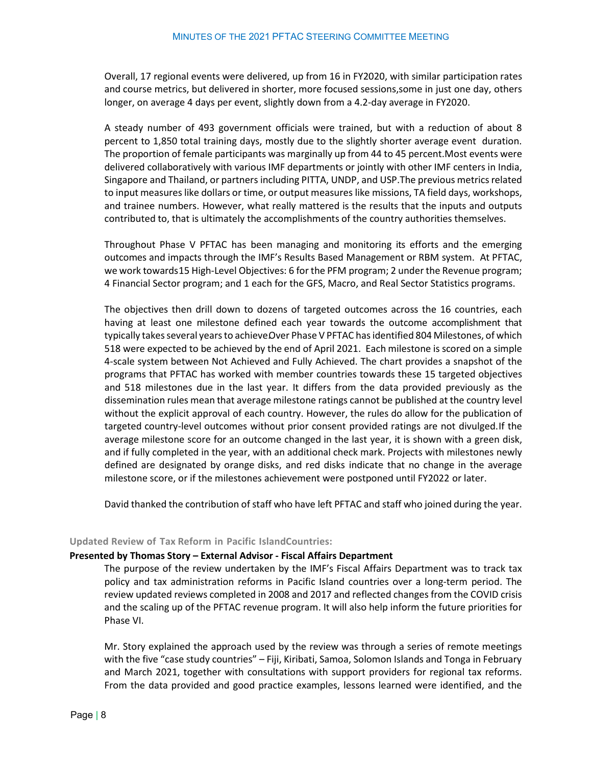Overall, 17 regional events were delivered, up from 16 in FY2020, with similar participation rates and course metrics, but delivered in shorter, more focused sessions,some in just one day, others longer, on average 4 days per event, slightly down from a 4.2-day average in FY2020.

A steady number of 493 government officials were trained, but with a reduction of about 8 percent to 1,850 total training days, mostly due to the slightly shorter average event duration. The proportion of female participants was marginally up from 44 to 45 percent.Most events were delivered collaboratively with various IMF departments or jointly with other IMF centers in India, Singapore and Thailand, or partners including PITTA, UNDP, and USP.The previous metricsrelated to input measureslike dollars or time, or output measures like missions, TA field days, workshops, and trainee numbers. However, what really mattered is the results that the inputs and outputs contributed to, that is ultimately the accomplishments of the country authorities themselves.

Throughout Phase V PFTAC has been managing and monitoring its efforts and the emerging outcomes and impacts through the IMF's Results Based Management or RBM system. At PFTAC, we work towards 15 High-Level Objectives: 6 for the PFM program; 2 under the Revenue program; 4 Financial Sector program; and 1 each for the GFS, Macro, and Real Sector Statistics programs.

The objectives then drill down to dozens of targeted outcomes across the 16 countries, each having at least one milestone defined each year towards the outcome accomplishment that typically takes several years to achieve Over Phase V PFTAC has identified 804 Milestones, of which 518 were expected to be achieved by the end of April 2021. Each milestone is scored on a simple 4-scale system between Not Achieved and Fully Achieved. The chart provides a snapshot of the programs that PFTAC has worked with member countries towards these 15 targeted objectives and 518 milestones due in the last year. It differs from the data provided previously as the dissemination rules mean that average milestone ratings cannot be published at the country level without the explicit approval of each country. However, the rules do allow for the publication of targeted country-level outcomes without prior consent provided ratings are not divulged. If the average milestone score for an outcome changed in the last year, it is shown with a green disk, and if fully completed in the year, with an additional check mark. Projects with milestones newly defined are designated by orange disks, and red disks indicate that no change in the average milestone score, or if the milestones achievement were postponed until FY2022 or later.

David thanked the contribution of staff who have left PFTAC and staff who joined during the year.

#### <span id="page-7-0"></span>**Updated Review of Tax Reform in Pacific IslandCountries:**

#### **Presented by Thomas Story – External Advisor - Fiscal Affairs Department**

The purpose of the review undertaken by the IMF's Fiscal Affairs Department was to track tax policy and tax administration reforms in Pacific Island countries over a long-term period. The review updated reviews completed in 2008 and 2017 and reflected changes from the COVID crisis and the scaling up of the PFTAC revenue program. It will also help inform the future priorities for Phase VI.

Mr. Story explained the approach used by the review was through a series of remote meetings with the five "case study countries" – Fiji, Kiribati, Samoa, Solomon Islands and Tonga in February and March 2021, together with consultations with support providers for regional tax reforms. From the data provided and good practice examples, lessons learned were identified, and the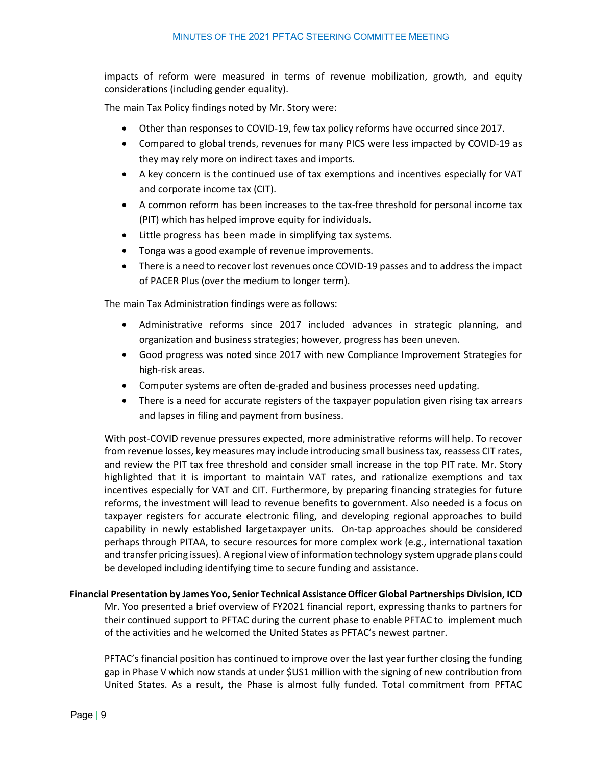impacts of reform were measured in terms of revenue mobilization, growth, and equity considerations (including gender equality).

The main Tax Policy findings noted by Mr. Story were:

- Other than responses to COVID-19, few tax policy reforms have occurred since 2017.
- Compared to global trends, revenues for many PICS were less impacted by COVID-19 as they may rely more on indirect taxes and imports.
- A key concern is the continued use of tax exemptions and incentives especially for VAT and corporate income tax (CIT).
- A common reform has been increases to the tax-free threshold for personal income tax (PIT) which has helped improve equity for individuals.
- Little progress has been made in simplifying tax systems.
- Tonga was a good example of revenue improvements.
- There is a need to recover lost revenues once COVID-19 passes and to address the impact of PACER Plus (over the medium to longer term).

The main Tax Administration findings were as follows:

- Administrative reforms since 2017 included advances in strategic planning, and organization and business strategies; however, progress has been uneven.
- Good progress was noted since 2017 with new Compliance Improvement Strategies for high-risk areas.
- Computer systems are often de-graded and business processes need updating.
- There is a need for accurate registers of the taxpayer population given rising tax arrears and lapses in filing and payment from business.

With post-COVID revenue pressures expected, more administrative reforms will help. To recover from revenue losses, key measures may include introducing small business tax, reassess CIT rates, and review the PIT tax free threshold and consider small increase in the top PIT rate. Mr. Story highlighted that it is important to maintain VAT rates, and rationalize exemptions and tax incentives especially for VAT and CIT. Furthermore, by preparing financing strategies for future reforms, the investment will lead to revenue benefits to government. Also needed is a focus on taxpayer registers for accurate electronic filing, and developing regional approaches to build capability in newly established largetaxpayer units. On-tap approaches should be considered perhaps through PITAA, to secure resources for more complex work (e.g., international taxation and transfer pricing issues). A regional view of information technology system upgrade plans could be developed including identifying time to secure funding and assistance.

<span id="page-8-0"></span>**Financial Presentation by James Yoo, Senior Technical Assistance Officer Global Partnerships Division, ICD** Mr. Yoo presented a brief overview of FY2021 financial report, expressing thanks to partners for their continued support to PFTAC during the current phase to enable PFTAC to implement much of the activities and he welcomed the United States as PFTAC's newest partner.

PFTAC's financial position has continued to improve over the last year further closing the funding gap in Phase V which now stands at under \$US1 million with the signing of new contribution from United States. As a result, the Phase is almost fully funded. Total commitment from PFTAC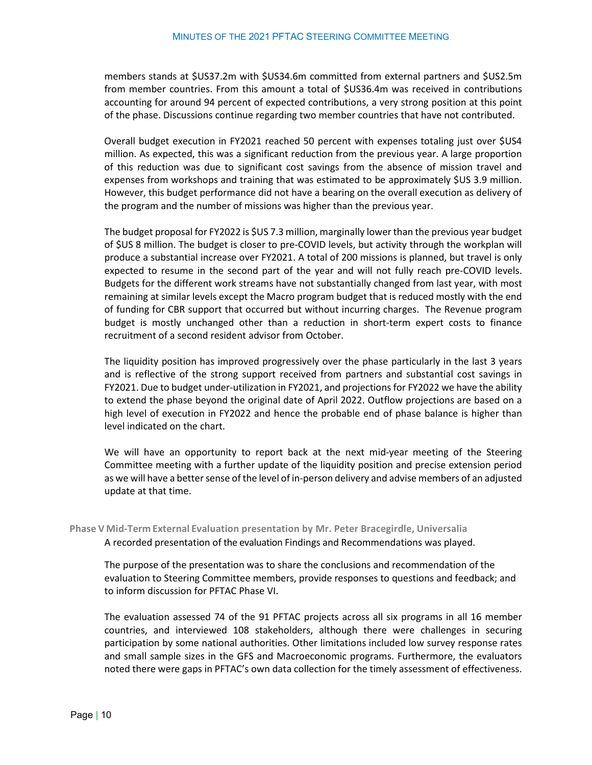members stands at \$US37.2m with \$US34.6m committed from external partners and \$US2.5m from member countries. From this amount a total of \$US36.4m was received in contributions accounting for around 94 percent of expected contributions, a very strong position at this point of the phase. Discussions continue regarding two member countries that have not contributed.

Overall budget execution in FY2021 reached 50 percent with expenses totaling just over \$US4 million. As expected, this was a significant reduction from the previous year. A large proportion of this reduction was due to significant cost savings from the absence of mission travel and expenses from workshops and training that was estimated to be approximately \$US 3.9 million. However, this budget performance did not have a bearing on the overall execution as delivery of the program and the number of missions was higher than the previous year.

The budget proposal for FY2022 is \$US 7.3 million, marginally lower than the previous year budget of \$US 8 million. The budget is closer to pre-COVID levels, but activity through the workplan will produce a substantial increase over FY2021. A total of 200 missions is planned, but travel is only expected to resume in the second part of the year and will not fully reach pre-COVID levels. Budgets for the different work streams have not substantially changed from last year, with most remaining at similar levels except the Macro program budget that is reduced mostly with the end of funding for CBR support that occurred but without incurring charges. The Revenue program budget is mostly unchanged other than a reduction in short-term expert costs to finance recruitment of a second resident advisor from October.

The liquidity position has improved progressively over the phase particularly in the last 3 years and is reflective of the strong support received from partners and substantial cost savings in FY2021. Due to budget under-utilization in FY2021, and projections for FY2022 we have the ability to extend the phase beyond the original date of April 2022. Outflow projections are based on a high level of execution in FY2022 and hence the probable end of phase balance is higher than level indicated on the chart.

We will have an opportunity to report back at the next mid-year meeting of the Steering Committee meeting with a further update of the liquidity position and precise extension period as we will have a better sense of the level of in-person delivery and advise members of an adjusted update at that time.

#### <span id="page-9-0"></span>**Phase V Mid-Term External Evaluation presentation by Mr. Peter Bracegirdle, Universalia**

A recorded presentation of the evaluation Findings and Recommendations was played.

The purpose of the presentation was to share the conclusions and recommendation of the evaluation to Steering Committee members, provide responses to questions and feedback; and to inform discussion for PFTAC Phase VI.

The evaluation assessed 74 of the 91 PFTAC projects across all six programs in all 16 member countries, and interviewed 108 stakeholders, although there were challenges in securing participation by some national authorities. Other limitations included low survey response rates and small sample sizes in the GFS and Macroeconomic programs. Furthermore, the evaluators noted there were gaps in PFTAC's own data collection for the timely assessment of effectiveness.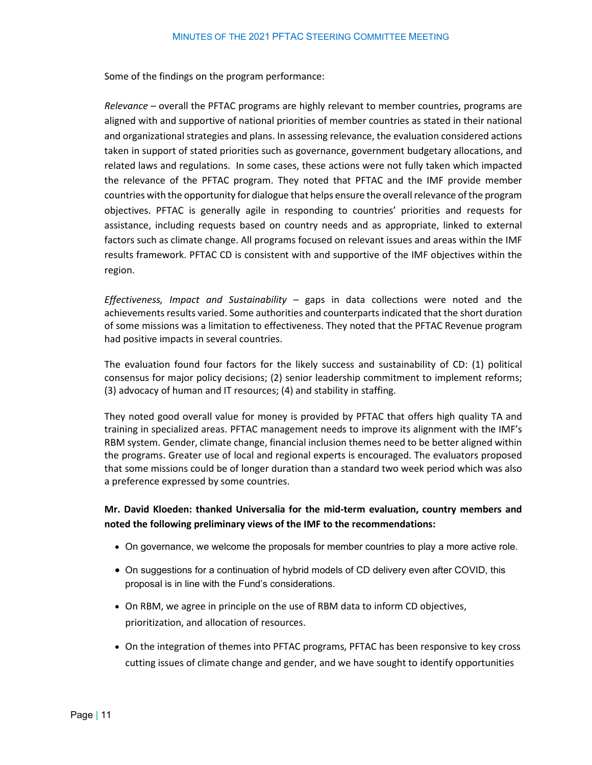Some of the findings on the program performance:

*Relevance* – overall the PFTAC programs are highly relevant to member countries, programs are aligned with and supportive of national priorities of member countries as stated in their national and organizational strategies and plans. In assessing relevance, the evaluation considered actions taken in support of stated priorities such as governance, government budgetary allocations, and related laws and regulations. In some cases, these actions were not fully taken which impacted the relevance of the PFTAC program. They noted that PFTAC and the IMF provide member countries with the opportunity for dialogue that helps ensure the overall relevance of the program objectives. PFTAC is generally agile in responding to countries' priorities and requests for assistance, including requests based on country needs and as appropriate, linked to external factors such as climate change. All programs focused on relevant issues and areas within the IMF results framework. PFTAC CD is consistent with and supportive of the IMF objectives within the region.

*Effectiveness, Impact and Sustainability* – gaps in data collections were noted and the achievements results varied. Some authorities and counterparts indicated that the short duration of some missions was a limitation to effectiveness. They noted that the PFTAC Revenue program had positive impacts in several countries.

The evaluation found four factors for the likely success and sustainability of CD: (1) political consensus for major policy decisions; (2) senior leadership commitment to implement reforms; (3) advocacy of human and IT resources; (4) and stability in staffing.

They noted good overall value for money is provided by PFTAC that offers high quality TA and training in specialized areas. PFTAC management needs to improve its alignment with the IMF's RBM system. Gender, climate change, financial inclusion themes need to be better aligned within the programs. Greater use of local and regional experts is encouraged. The evaluators proposed that some missions could be of longer duration than a standard two week period which was also a preference expressed by some countries.

#### **Mr. David Kloeden: thanked Universalia for the mid-term evaluation, country members and noted the following preliminary views of the IMF to the recommendations:**

- On governance, we welcome the proposals for member countries to play a more active role.
- On suggestions for a continuation of hybrid models of CD delivery even after COVID, this proposal is in line with the Fund's considerations.
- On RBM, we agree in principle on the use of RBM data to inform CD objectives, prioritization, and allocation of resources.
- On the integration of themes into PFTAC programs, PFTAC has been responsive to key cross cutting issues of climate change and gender, and we have sought to identify opportunities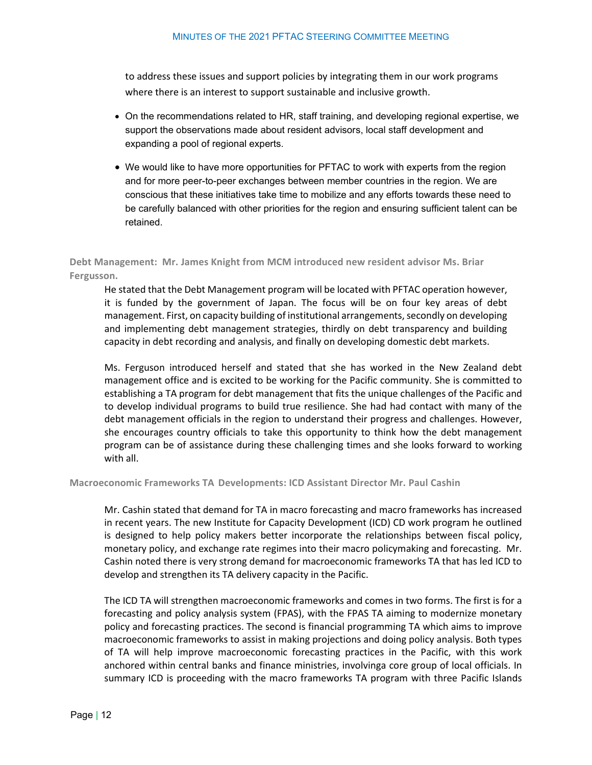to address these issues and support policies by integrating them in our work programs where there is an interest to support sustainable and inclusive growth.

- On the recommendations related to HR, staff training, and developing regional expertise, we support the observations made about resident advisors, local staff development and expanding a pool of regional experts.
- We would like to have more opportunities for PFTAC to work with experts from the region and for more peer-to-peer exchanges between member countries in the region. We are conscious that these initiatives take time to mobilize and any efforts towards these need to be carefully balanced with other priorities for the region and ensuring sufficient talent can be retained.

<span id="page-11-0"></span>**Debt Management: Mr. James Knight from MCM introduced new resident advisor Ms. Briar Fergusson.** 

He stated that the Debt Management program will be located with PFTAC operation however, it is funded by the government of Japan. The focus will be on four key areas of debt management. First, on capacity building of institutional arrangements, secondly on developing and implementing debt management strategies, thirdly on debt transparency and building capacity in debt recording and analysis, and finally on developing domestic debt markets.

Ms. Ferguson introduced herself and stated that she has worked in the New Zealand debt management office and is excited to be working for the Pacific community. She is committed to establishing a TA program for debt management that fits the unique challenges of the Pacific and to develop individual programs to build true resilience. She had had contact with many of the debt management officials in the region to understand their progress and challenges. However, she encourages country officials to take this opportunity to think how the debt management program can be of assistance during these challenging times and she looks forward to working with all.

<span id="page-11-1"></span>**Macroeconomic Frameworks TA Developments: ICD Assistant Director Mr. Paul Cashin**

Mr. Cashin stated that demand for TA in macro forecasting and macro frameworks has increased in recent years. The new Institute for Capacity Development (ICD) CD work program he outlined is designed to help policy makers better incorporate the relationships between fiscal policy, monetary policy, and exchange rate regimes into their macro policymaking and forecasting. Mr. Cashin noted there is very strong demand for macroeconomic frameworks TA that has led ICD to develop and strengthen its TA delivery capacity in the Pacific.

The ICD TA will strengthen macroeconomic frameworks and comes in two forms. The first is for a forecasting and policy analysis system (FPAS), with the FPAS TA aiming to modernize monetary policy and forecasting practices. The second is financial programming TA which aims to improve macroeconomic frameworks to assist in making projections and doing policy analysis. Both types of TA will help improve macroeconomic forecasting practices in the Pacific, with this work anchored within central banks and finance ministries, involvinga core group of local officials. In summary ICD is proceeding with the macro frameworks TA program with three Pacific Islands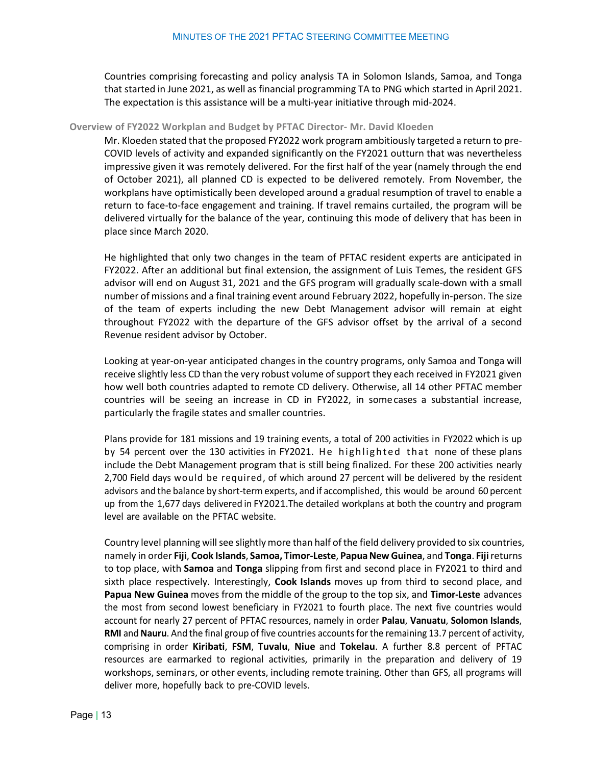Countries comprising forecasting and policy analysis TA in Solomon Islands, Samoa, and Tonga that started in June 2021, as well as financial programming TA to PNG which started in April 2021. The expectation is this assistance will be a multi-year initiative through mid-2024.

#### **Overview of FY2022 Workplan and Budget by PFTAC Director- Mr. David Kloeden**

Mr. Kloeden stated that the proposed FY2022 work program ambitiously targeted a return to pre-COVID levels of activity and expanded significantly on the FY2021 outturn that was nevertheless impressive given it was remotely delivered. For the first half of the year (namely through the end of October 2021), all planned CD is expected to be delivered remotely. From November, the workplans have optimistically been developed around a gradual resumption of travel to enable a return to face-to-face engagement and training. If travel remains curtailed, the program will be delivered virtually for the balance of the year, continuing this mode of delivery that has been in place since March 2020.

He highlighted that only two changes in the team of PFTAC resident experts are anticipated in FY2022. After an additional but final extension, the assignment of Luis Temes, the resident GFS advisor will end on August 31, 2021 and the GFS program will gradually scale-down with a small number of missions and a final training event around February 2022, hopefully in-person. The size of the team of experts including the new Debt Management advisor will remain at eight throughout FY2022 with the departure of the GFS advisor offset by the arrival of a second Revenue resident advisor by October.

Looking at year-on-year anticipated changes in the country programs, only Samoa and Tonga will receive slightly less CD than the very robust volume of support they each received in FY2021 given how well both countries adapted to remote CD delivery. Otherwise, all 14 other PFTAC member countries will be seeing an increase in CD in FY2022, in somecases a substantial increase, particularly the fragile states and smaller countries.

Plans provide for 181 missions and 19 training events, a total of 200 activities in FY2022 which is up by 54 percent over the 130 activities in FY2021. He highlighted that none of these plans include the Debt Management program that is still being finalized. For these 200 activities nearly 2,700 Field days would be required, of which around 27 percent will be delivered by the resident advisors and the balance by short-term experts, and if accomplished, this would be around 60 percent up from the 1,677 days delivered in FY2021.The detailed workplans at both the country and program level are available on the PFTAC website.

Country level planning will see slightly more than half of the field delivery provided to six countries, namely in order **Fiji**, **Cook Islands**, **Samoa, Timor-Leste**, **PapuaNew Guinea**, and **Tonga**. **Fiji**returns to top place, with **Samoa** and **Tonga** slipping from first and second place in FY2021 to third and sixth place respectively. Interestingly, **Cook Islands** moves up from third to second place, and **Papua New Guinea** moves from the middle of the group to the top six, and **Timor-Leste** advances the most from second lowest beneficiary in FY2021 to fourth place. The next five countries would account for nearly 27 percent of PFTAC resources, namely in order **Palau**, **Vanuatu**, **Solomon Islands**, **RMI** and **Nauru**. And the final group of five countries accounts for the remaining 13.7 percent of activity, comprising in order **Kiribati**, **FSM**, **Tuvalu**, **Niue** and **Tokelau**. A further 8.8 percent of PFTAC resources are earmarked to regional activities, primarily in the preparation and delivery of 19 workshops, seminars, or other events, including remote training. Other than GFS, all programs will deliver more, hopefully back to pre-COVID levels.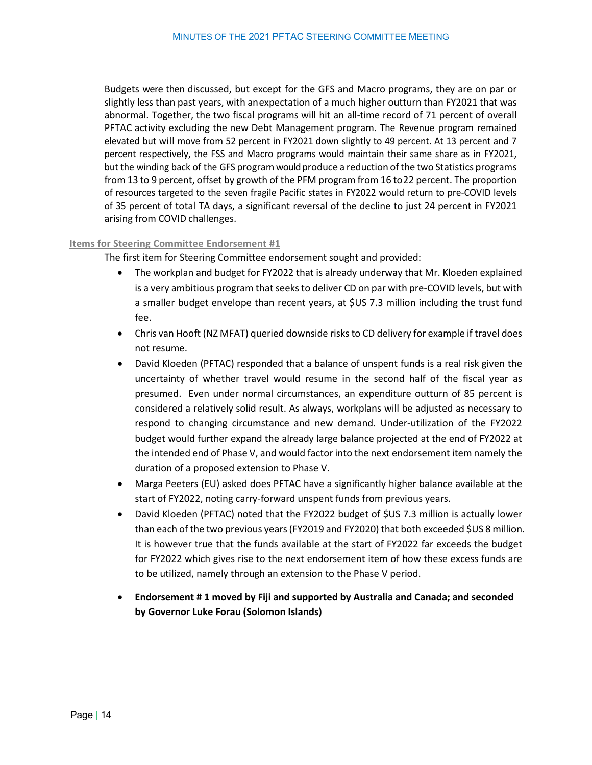Budgets were then discussed, but except for the GFS and Macro programs, they are on par or slightly less than past years, with anexpectation of a much higher outturn than FY2021 that was abnormal. Together, the two fiscal programs will hit an all-time record of 71 percent of overall PFTAC activity excluding the new Debt Management program. The Revenue program remained elevated but will move from 52 percent in FY2021 down slightly to 49 percent. At 13 percent and 7 percent respectively, the FSS and Macro programs would maintain their same share as in FY2021, but the winding back of the GFS programwould produce a reduction ofthe two Statistics programs from 13 to 9 percent, offset by growth of the PFM program from 16 to22 percent. The proportion of resources targeted to the seven fragile Pacific states in FY2022 would return to pre-COVID levels of 35 percent of total TA days, a significant reversal of the decline to just 24 percent in FY2021 arising from COVID challenges.

#### <span id="page-13-0"></span>**Items for Steering Committee Endorsement #1**

The first item for Steering Committee endorsement sought and provided:

- The workplan and budget for FY2022 that is already underway that Mr. Kloeden explained is a very ambitious program that seeks to deliver CD on par with pre-COVID levels, but with a smaller budget envelope than recent years, at \$US 7.3 million including the trust fund fee.
- Chris van Hooft (NZ MFAT) queried downside risks to CD delivery for example if travel does not resume.
- David Kloeden (PFTAC) responded that a balance of unspent funds is a real risk given the uncertainty of whether travel would resume in the second half of the fiscal year as presumed. Even under normal circumstances, an expenditure outturn of 85 percent is considered a relatively solid result. As always, workplans will be adjusted as necessary to respond to changing circumstance and new demand. Under-utilization of the FY2022 budget would further expand the already large balance projected at the end of FY2022 at the intended end of Phase V, and would factor into the next endorsement item namely the duration of a proposed extension to Phase V.
- Marga Peeters (EU) asked does PFTAC have a significantly higher balance available at the start of FY2022, noting carry-forward unspent funds from previous years.
- David Kloeden (PFTAC) noted that the FY2022 budget of \$US 7.3 million is actually lower than each of the two previous years (FY2019 and FY2020) that both exceeded \$US 8 million. It is however true that the funds available at the start of FY2022 far exceeds the budget for FY2022 which gives rise to the next endorsement item of how these excess funds are to be utilized, namely through an extension to the Phase V period.
- <span id="page-13-1"></span>• **Endorsement # 1 moved by Fiji and supported by Australia and Canada; and seconded by Governor Luke Forau (Solomon Islands)**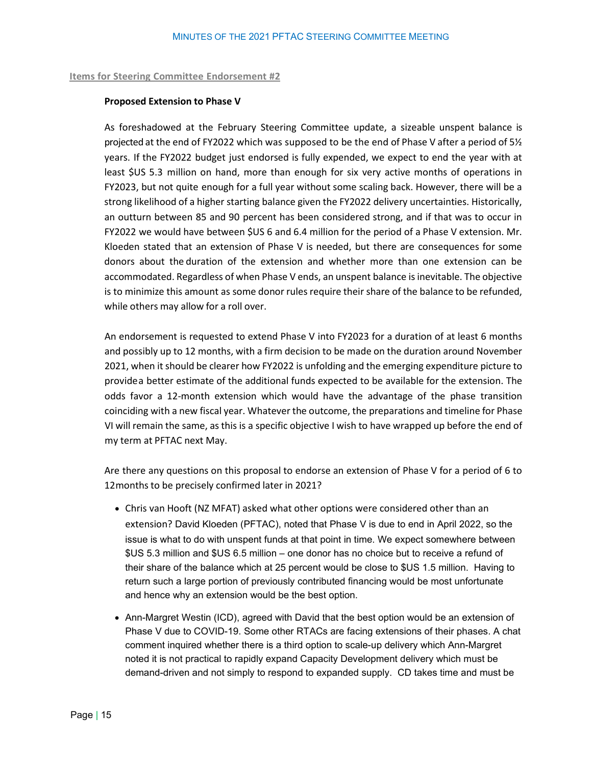#### **Items for Steering Committee Endorsement #2**

#### **Proposed Extension to Phase V**

As foreshadowed at the February Steering Committee update, a sizeable unspent balance is projected at the end of FY2022 which was supposed to be the end of Phase V after a period of 5½ years. If the FY2022 budget just endorsed is fully expended, we expect to end the year with at least \$US 5.3 million on hand, more than enough for six very active months of operations in FY2023, but not quite enough for a full year without some scaling back. However, there will be a strong likelihood of a higher starting balance given the FY2022 delivery uncertainties. Historically, an outturn between 85 and 90 percent has been considered strong, and if that was to occur in FY2022 we would have between \$US 6 and 6.4 million for the period of a Phase V extension. Mr. Kloeden stated that an extension of Phase V is needed, but there are consequences for some donors about the duration of the extension and whether more than one extension can be accommodated. Regardless of when Phase V ends, an unspent balance is inevitable. The objective is to minimize this amount as some donor rules require their share of the balance to be refunded, while others may allow for a roll over.

An endorsement is requested to extend Phase V into FY2023 for a duration of at least 6 months and possibly up to 12 months, with a firm decision to be made on the duration around November 2021, when it should be clearer how FY2022 is unfolding and the emerging expenditure picture to provide a better estimate of the additional funds expected to be available for the extension. The odds favor a 12-month extension which would have the advantage of the phase transition coinciding with a new fiscal year. Whatever the outcome, the preparations and timeline for Phase VI will remain the same, asthis is a specific objective I wish to have wrapped up before the end of my term at PFTAC next May.

Are there any questions on this proposal to endorse an extension of Phase V for a period of 6 to 12months to be precisely confirmed later in 2021?

- Chris van Hooft (NZ MFAT) asked what other options were considered other than an extension? David Kloeden (PFTAC), noted that Phase V is due to end in April 2022, so the issue is what to do with unspent funds at that point in time. We expect somewhere between \$US 5.3 million and \$US 6.5 million – one donor has no choice but to receive a refund of their share of the balance which at 25 percent would be close to \$US 1.5 million. Having to return such a large portion of previously contributed financing would be most unfortunate and hence why an extension would be the best option.
- Ann-Margret Westin (ICD), agreed with David that the best option would be an extension of Phase V due to COVID-19. Some other RTACs are facing extensions of their phases. A chat comment inquired whether there is a third option to scale-up delivery which Ann-Margret noted it is not practical to rapidly expand Capacity Development delivery which must be demand-driven and not simply to respond to expanded supply. CD takes time and must be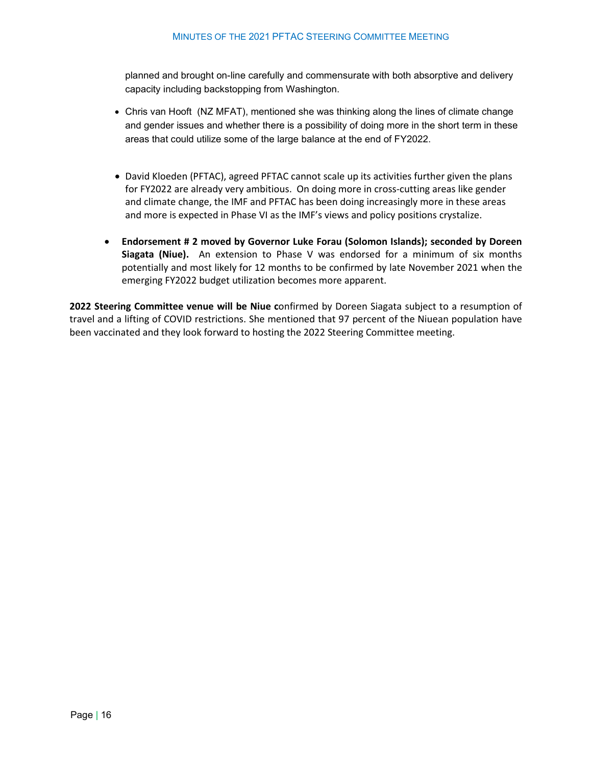#### MINUTES OF THE 2021 PFTAC STEERING COMMITTEE MEETING

planned and brought on-line carefully and commensurate with both absorptive and delivery capacity including backstopping from Washington.

- Chris van Hooft (NZ MFAT), mentioned she was thinking along the lines of climate change and gender issues and whether there is a possibility of doing more in the short term in these areas that could utilize some of the large balance at the end of FY2022.
- David Kloeden (PFTAC), agreed PFTAC cannot scale up its activities further given the plans for FY2022 are already very ambitious. On doing more in cross-cutting areas like gender and climate change, the IMF and PFTAC has been doing increasingly more in these areas and more is expected in Phase VI as the IMF's views and policy positions crystalize.
- **Endorsement # 2 moved by Governor Luke Forau (Solomon Islands); seconded by Doreen Siagata (Niue).** An extension to Phase V was endorsed for a minimum of six months potentially and most likely for 12 months to be confirmed by late November 2021 when the emerging FY2022 budget utilization becomes more apparent.

**2022 Steering Committee venue will be Niue c**onfirmed by Doreen Siagata subject to a resumption of travel and a lifting of COVID restrictions. She mentioned that 97 percent of the Niuean population have been vaccinated and they look forward to hosting the 2022 Steering Committee meeting.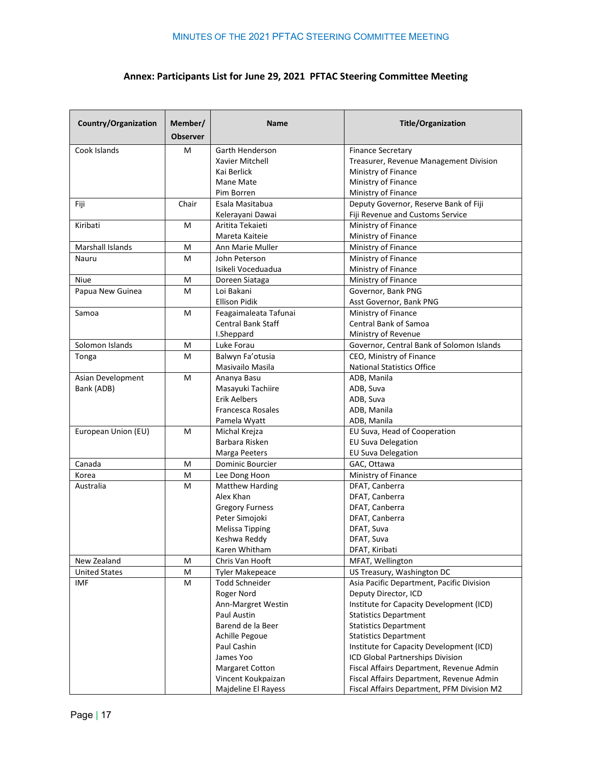### **Annex: Participants List for June 29, 2021 PFTAC Steering Committee Meeting**

| <b>Country/Organization</b> | Member/<br><b>Observer</b> | <b>Name</b>            | <b>Title/Organization</b>                  |
|-----------------------------|----------------------------|------------------------|--------------------------------------------|
| Cook Islands                | M                          | Garth Henderson        | <b>Finance Secretary</b>                   |
|                             |                            | Xavier Mitchell        | Treasurer, Revenue Management Division     |
|                             |                            | Kai Berlick            | Ministry of Finance                        |
|                             |                            | Mane Mate              | Ministry of Finance                        |
|                             |                            | Pim Borren             | Ministry of Finance                        |
| Fiji                        | Chair                      | Esala Masitabua        | Deputy Governor, Reserve Bank of Fiji      |
|                             |                            | Kelerayani Dawai       | Fiji Revenue and Customs Service           |
| Kiribati                    | M                          | Aritita Tekaieti       | Ministry of Finance                        |
|                             |                            | Mareta Kaiteie         | Ministry of Finance                        |
| Marshall Islands            | M                          | Ann Marie Muller       | Ministry of Finance                        |
| Nauru                       | M                          | John Peterson          | Ministry of Finance                        |
|                             |                            | Isikeli Voceduadua     | Ministry of Finance                        |
| Niue                        | M                          | Doreen Siataga         | Ministry of Finance                        |
| Papua New Guinea            | M                          | Loi Bakani             | Governor, Bank PNG                         |
|                             |                            | <b>Ellison Pidik</b>   | Asst Governor, Bank PNG                    |
| Samoa                       | M                          | Feagaimaleata Tafunai  | Ministry of Finance                        |
|                             |                            | Central Bank Staff     | Central Bank of Samoa                      |
|                             |                            | I.Sheppard             | Ministry of Revenue                        |
| Solomon Islands             | M                          | Luke Forau             | Governor, Central Bank of Solomon Islands  |
| Tonga                       | M                          | Balwyn Fa'otusia       | CEO, Ministry of Finance                   |
|                             |                            | Masivailo Masila       | <b>National Statistics Office</b>          |
| Asian Development           | M                          | Ananya Basu            | ADB, Manila                                |
| Bank (ADB)                  |                            | Masayuki Tachiire      | ADB, Suva                                  |
|                             |                            | <b>Erik Aelbers</b>    | ADB, Suva                                  |
|                             |                            | Francesca Rosales      | ADB, Manila                                |
|                             |                            | Pamela Wyatt           | ADB, Manila                                |
| European Union (EU)         | M                          | Michal Krejza          | EU Suva, Head of Cooperation               |
|                             |                            | Barbara Risken         | <b>EU Suva Delegation</b>                  |
|                             |                            | Marga Peeters          | <b>EU Suva Delegation</b>                  |
| Canada                      | M                          | Dominic Bourcier       | GAC, Ottawa                                |
| Korea                       | M                          | Lee Dong Hoon          | Ministry of Finance                        |
| Australia                   | M                          | <b>Matthew Harding</b> | DFAT, Canberra                             |
|                             |                            | Alex Khan              | DFAT, Canberra                             |
|                             |                            | <b>Gregory Furness</b> | DFAT, Canberra                             |
|                             |                            | Peter Simojoki         | DFAT, Canberra                             |
|                             |                            | Melissa Tipping        | DFAT, Suva                                 |
|                             |                            | Keshwa Reddy           | DFAT, Suva                                 |
|                             |                            | Karen Whitham          | DFAT, Kiribati                             |
| New Zealand                 | M                          | Chris Van Hooft        | MFAT, Wellington                           |
| <b>United States</b>        | M                          | <b>Tyler Makepeace</b> | US Treasury, Washington DC                 |
| <b>IMF</b>                  | M                          | <b>Todd Schneider</b>  | Asia Pacific Department, Pacific Division  |
|                             |                            | Roger Nord             | Deputy Director, ICD                       |
|                             |                            | Ann-Margret Westin     | Institute for Capacity Development (ICD)   |
|                             |                            | Paul Austin            | <b>Statistics Department</b>               |
|                             |                            | Barend de la Beer      | <b>Statistics Department</b>               |
|                             |                            | Achille Pegoue         | <b>Statistics Department</b>               |
|                             |                            | Paul Cashin            | Institute for Capacity Development (ICD)   |
|                             |                            | James Yoo              | ICD Global Partnerships Division           |
|                             |                            | Margaret Cotton        | Fiscal Affairs Department, Revenue Admin   |
|                             |                            | Vincent Koukpaizan     | Fiscal Affairs Department, Revenue Admin   |
|                             |                            | Majdeline El Rayess    | Fiscal Affairs Department, PFM Division M2 |